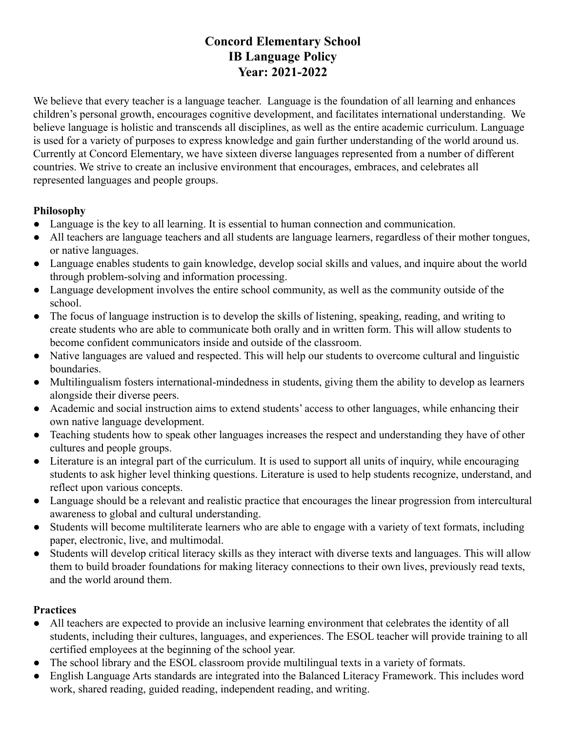## **Concord Elementary School IB Language Policy Year: 2021-2022**

We believe that every teacher is a language teacher. Language is the foundation of all learning and enhances children's personal growth, encourages cognitive development, and facilitates international understanding. We believe language is holistic and transcends all disciplines, as well as the entire academic curriculum. Language is used for a variety of purposes to express knowledge and gain further understanding of the world around us. Currently at Concord Elementary, we have sixteen diverse languages represented from a number of different countries. We strive to create an inclusive environment that encourages, embraces, and celebrates all represented languages and people groups.

## **Philosophy**

- Language is the key to all learning. It is essential to human connection and communication.
- All teachers are language teachers and all students are language learners, regardless of their mother tongues, or native languages.
- Language enables students to gain knowledge, develop social skills and values, and inquire about the world through problem-solving and information processing.
- Language development involves the entire school community, as well as the community outside of the school.
- The focus of language instruction is to develop the skills of listening, speaking, reading, and writing to create students who are able to communicate both orally and in written form. This will allow students to become confident communicators inside and outside of the classroom.
- Native languages are valued and respected. This will help our students to overcome cultural and linguistic boundaries.
- Multilingualism fosters international-mindedness in students, giving them the ability to develop as learners alongside their diverse peers.
- Academic and social instruction aims to extend students' access to other languages, while enhancing their own native language development.
- Teaching students how to speak other languages increases the respect and understanding they have of other cultures and people groups.
- Literature is an integral part of the curriculum. It is used to support all units of inquiry, while encouraging students to ask higher level thinking questions. Literature is used to help students recognize, understand, and reflect upon various concepts.
- Language should be a relevant and realistic practice that encourages the linear progression from intercultural awareness to global and cultural understanding.
- Students will become multiliterate learners who are able to engage with a variety of text formats, including paper, electronic, live, and multimodal.
- Students will develop critical literacy skills as they interact with diverse texts and languages. This will allow them to build broader foundations for making literacy connections to their own lives, previously read texts, and the world around them.

## **Practices**

- All teachers are expected to provide an inclusive learning environment that celebrates the identity of all students, including their cultures, languages, and experiences. The ESOL teacher will provide training to all certified employees at the beginning of the school year.
- The school library and the ESOL classroom provide multilingual texts in a variety of formats.
- English Language Arts standards are integrated into the Balanced Literacy Framework. This includes word work, shared reading, guided reading, independent reading, and writing.